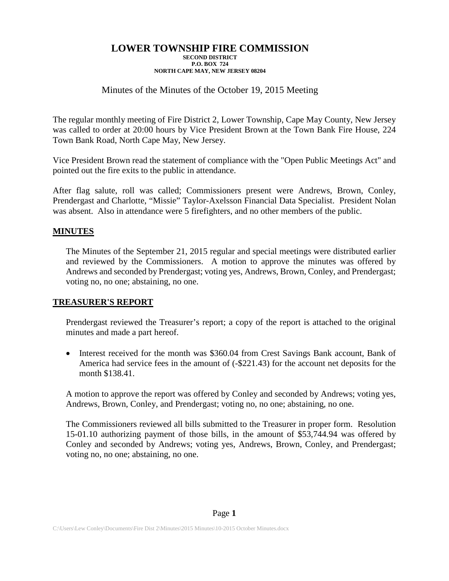# Minutes of the Minutes of the October 19, 2015 Meeting

The regular monthly meeting of Fire District 2, Lower Township, Cape May County, New Jersey was called to order at 20:00 hours by Vice President Brown at the Town Bank Fire House, 224 Town Bank Road, North Cape May, New Jersey.

Vice President Brown read the statement of compliance with the "Open Public Meetings Act" and pointed out the fire exits to the public in attendance.

After flag salute, roll was called; Commissioners present were Andrews, Brown, Conley, Prendergast and Charlotte, "Missie" Taylor-Axelsson Financial Data Specialist. President Nolan was absent. Also in attendance were 5 firefighters, and no other members of the public.

### **MINUTES**

The Minutes of the September 21, 2015 regular and special meetings were distributed earlier and reviewed by the Commissioners. A motion to approve the minutes was offered by Andrews and seconded by Prendergast; voting yes, Andrews, Brown, Conley, and Prendergast; voting no, no one; abstaining, no one.

### **TREASURER'S REPORT**

Prendergast reviewed the Treasurer's report; a copy of the report is attached to the original minutes and made a part hereof.

• Interest received for the month was \$360.04 from Crest Savings Bank account, Bank of America had service fees in the amount of (-\$221.43) for the account net deposits for the month \$138.41.

A motion to approve the report was offered by Conley and seconded by Andrews; voting yes, Andrews, Brown, Conley, and Prendergast; voting no, no one; abstaining, no one.

The Commissioners reviewed all bills submitted to the Treasurer in proper form. Resolution 15-01.10 authorizing payment of those bills, in the amount of \$53,744.94 was offered by Conley and seconded by Andrews; voting yes, Andrews, Brown, Conley, and Prendergast; voting no, no one; abstaining, no one.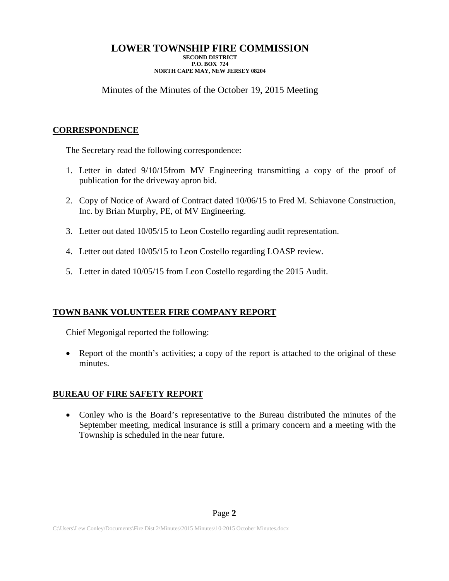# Minutes of the Minutes of the October 19, 2015 Meeting

# **CORRESPONDENCE**

The Secretary read the following correspondence:

- 1. Letter in dated 9/10/15from MV Engineering transmitting a copy of the proof of publication for the driveway apron bid.
- 2. Copy of Notice of Award of Contract dated 10/06/15 to Fred M. Schiavone Construction, Inc. by Brian Murphy, PE, of MV Engineering.
- 3. Letter out dated 10/05/15 to Leon Costello regarding audit representation.
- 4. Letter out dated 10/05/15 to Leon Costello regarding LOASP review.
- 5. Letter in dated 10/05/15 from Leon Costello regarding the 2015 Audit.

# **TOWN BANK VOLUNTEER FIRE COMPANY REPORT**

Chief Megonigal reported the following:

• Report of the month's activities; a copy of the report is attached to the original of these minutes.

# **BUREAU OF FIRE SAFETY REPORT**

• Conley who is the Board's representative to the Bureau distributed the minutes of the September meeting, medical insurance is still a primary concern and a meeting with the Township is scheduled in the near future.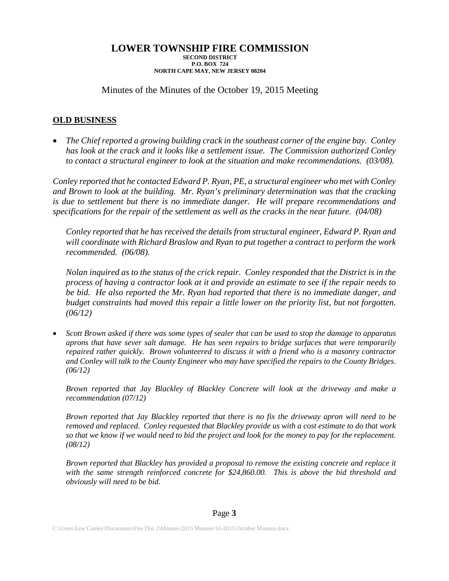Minutes of the Minutes of the October 19, 2015 Meeting

# **OLD BUSINESS**

• *The Chief reported a growing building crack in the southeast corner of the engine bay. Conley has look at the crack and it looks like a settlement issue. The Commission authorized Conley to contact a structural engineer to look at the situation and make recommendations. (03/08).*

*Conley reported that he contacted Edward P. Ryan, PE, a structural engineer who met with Conley and Brown to look at the building. Mr. Ryan's preliminary determination was that the cracking is due to settlement but there is no immediate danger. He will prepare recommendations and specifications for the repair of the settlement as well as the cracks in the near future. (04/08)*

*Conley reported that he has received the details from structural engineer, Edward P. Ryan and will coordinate with Richard Braslow and Ryan to put together a contract to perform the work recommended. (06/08).*

*Nolan inquired as to the status of the crick repair. Conley responded that the District is in the process of having a contractor look at it and provide an estimate to see if the repair needs to be bid. He also reported the Mr. Ryan had reported that there is no immediate danger, and budget constraints had moved this repair a little lower on the priority list, but not forgotten. (06/12)*

• *Scott Brown asked if there was some types of sealer that can be used to stop the damage to apparatus aprons that have sever salt damage. He has seen repairs to bridge surfaces that were temporarily repaired rather quickly. Brown volunteered to discuss it with a friend who is a masonry contractor and Conley will talk to the County Engineer who may have specified the repairs to the County Bridges. (06/12)*

*Brown reported that Jay Blackley of Blackley Concrete will look at the driveway and make a recommendation (07/12)*

*Brown reported that Jay Blackley reported that there is no fix the driveway apron will need to be removed and replaced. Conley requested that Blackley provide us with a cost estimate to do that work so that we know if we would need to bid the project and look for the money to pay for the replacement. (08/12)*

*Brown reported that Blackley has provided a proposal to remove the existing concrete and replace it with the same strength reinforced concrete for \$24,860.00. This is above the bid threshold and obviously will need to be bid.*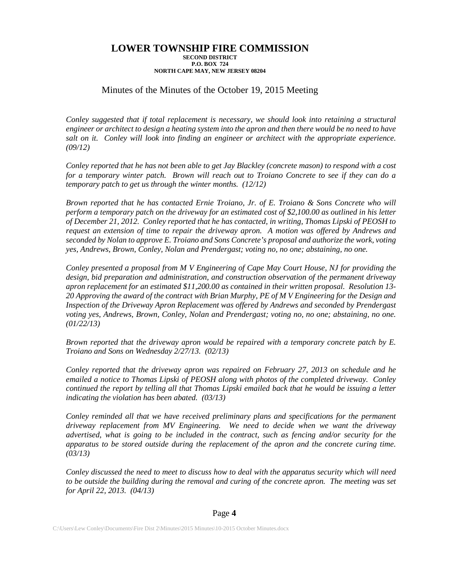## Minutes of the Minutes of the October 19, 2015 Meeting

*Conley suggested that if total replacement is necessary, we should look into retaining a structural engineer or architect to design a heating system into the apron and then there would be no need to have salt on it. Conley will look into finding an engineer or architect with the appropriate experience. (09/12)*

*Conley reported that he has not been able to get Jay Blackley (concrete mason) to respond with a cost for a temporary winter patch. Brown will reach out to Troiano Concrete to see if they can do a temporary patch to get us through the winter months. (12/12)*

*Brown reported that he has contacted Ernie Troiano, Jr. of E. Troiano & Sons Concrete who will perform a temporary patch on the driveway for an estimated cost of \$2,100.00 as outlined in his letter of December 21, 2012. Conley reported that he has contacted, in writing, Thomas Lipski of PEOSH to request an extension of time to repair the driveway apron. A motion was offered by Andrews and seconded by Nolan to approve E. Troiano and Sons Concrete's proposal and authorize the work, voting yes, Andrews, Brown, Conley, Nolan and Prendergast; voting no, no one; abstaining, no one.*

*Conley presented a proposal from M V Engineering of Cape May Court House, NJ for providing the design, bid preparation and administration, and construction observation of the permanent driveway apron replacement for an estimated \$11,200.00 as contained in their written proposal. Resolution 13- 20 Approving the award of the contract with Brian Murphy, PE of M V Engineering for the Design and Inspection of the Driveway Apron Replacement was offered by Andrews and seconded by Prendergast voting yes, Andrews, Brown, Conley, Nolan and Prendergast; voting no, no one; abstaining, no one. (01/22/13)*

*Brown reported that the driveway apron would be repaired with a temporary concrete patch by E. Troiano and Sons on Wednesday 2/27/13. (02/13)*

*Conley reported that the driveway apron was repaired on February 27, 2013 on schedule and he emailed a notice to Thomas Lipski of PEOSH along with photos of the completed driveway. Conley continued the report by telling all that Thomas Lipski emailed back that he would be issuing a letter indicating the violation has been abated. (03/13)*

*Conley reminded all that we have received preliminary plans and specifications for the permanent driveway replacement from MV Engineering. We need to decide when we want the driveway advertised, what is going to be included in the contract, such as fencing and/or security for the apparatus to be stored outside during the replacement of the apron and the concrete curing time. (03/13)*

*Conley discussed the need to meet to discuss how to deal with the apparatus security which will need to be outside the building during the removal and curing of the concrete apron. The meeting was set for April 22, 2013. (04/13)*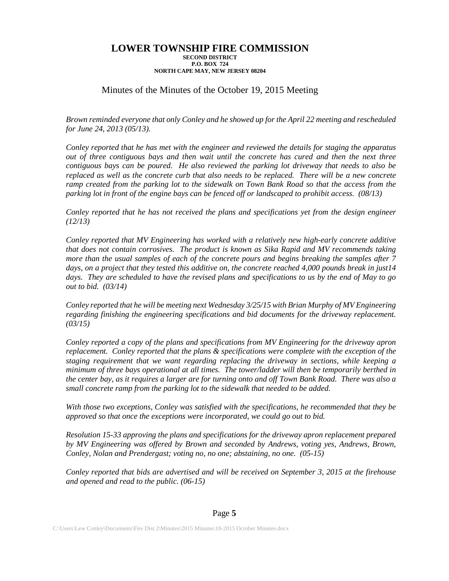## Minutes of the Minutes of the October 19, 2015 Meeting

*Brown reminded everyone that only Conley and he showed up for the April 22 meeting and rescheduled for June 24, 2013 (05/13).*

*Conley reported that he has met with the engineer and reviewed the details for staging the apparatus out of three contiguous bays and then wait until the concrete has cured and then the next three contiguous bays can be poured. He also reviewed the parking lot driveway that needs to also be replaced as well as the concrete curb that also needs to be replaced. There will be a new concrete ramp created from the parking lot to the sidewalk on Town Bank Road so that the access from the parking lot in front of the engine bays can be fenced off or landscaped to prohibit access. (08/13)* 

*Conley reported that he has not received the plans and specifications yet from the design engineer (12/13)*

*Conley reported that MV Engineering has worked with a relatively new high-early concrete additive that does not contain corrosives. The product is known as Sika Rapid and MV recommends taking more than the usual samples of each of the concrete pours and begins breaking the samples after 7 days, on a project that they tested this additive on, the concrete reached 4,000 pounds break in just14 days. They are scheduled to have the revised plans and specifications to us by the end of May to go out to bid. (03/14)*

*Conley reported that he will be meeting next Wednesday 3/25/15 with Brian Murphy of MV Engineering regarding finishing the engineering specifications and bid documents for the driveway replacement. (03/15)*

*Conley reported a copy of the plans and specifications from MV Engineering for the driveway apron replacement. Conley reported that the plans & specifications were complete with the exception of the staging requirement that we want regarding replacing the driveway in sections, while keeping a minimum of three bays operational at all times. The tower/ladder will then be temporarily berthed in the center bay, as it requires a larger are for turning onto and off Town Bank Road. There was also a small concrete ramp from the parking lot to the sidewalk that needed to be added.*

*With those two exceptions, Conley was satisfied with the specifications, he recommended that they be approved so that once the exceptions were incorporated, we could go out to bid.*

*Resolution 15-33 approving the plans and specifications for the driveway apron replacement prepared by MV Engineering was offered by Brown and seconded by Andrews, voting yes, Andrews, Brown, Conley, Nolan and Prendergast; voting no, no one; abstaining, no one. (05-15)*

*Conley reported that bids are advertised and will be received on September 3, 2015 at the firehouse and opened and read to the public. (06-15)*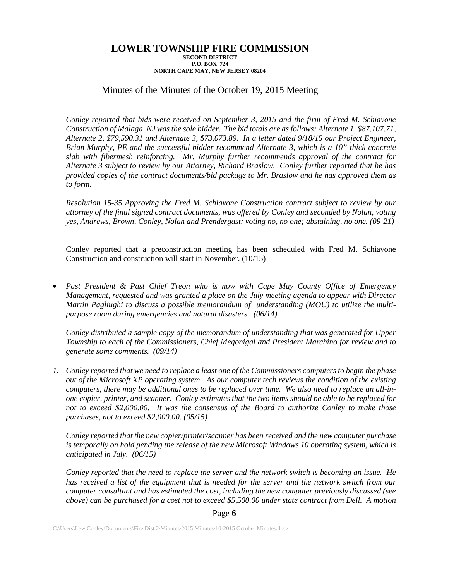### Minutes of the Minutes of the October 19, 2015 Meeting

*Conley reported that bids were received on September 3, 2015 and the firm of Fred M. Schiavone Construction of Malaga, NJ was the sole bidder. The bid totals are as follows: Alternate 1, \$87,107.71, Alternate 2, \$79,590.31 and Alternate 3, \$73,073.89. In a letter dated 9/18/15 our Project Engineer, Brian Murphy, PE and the successful bidder recommend Alternate 3, which is a 10" thick concrete slab with fibermesh reinforcing. Mr. Murphy further recommends approval of the contract for Alternate 3 subject to review by our Attorney, Richard Braslow. Conley further reported that he has provided copies of the contract documents/bid package to Mr. Braslow and he has approved them as to form.*

*Resolution 15-35 Approving the Fred M. Schiavone Construction contract subject to review by our attorney of the final signed contract documents, was offered by Conley and seconded by Nolan, voting yes, Andrews, Brown, Conley, Nolan and Prendergast; voting no, no one; abstaining, no one. (09-21)*

Conley reported that a preconstruction meeting has been scheduled with Fred M. Schiavone Construction and construction will start in November. (10/15)

• *Past President & Past Chief Treon who is now with Cape May County Office of Emergency Management, requested and was granted a place on the July meeting agenda to appear with Director Martin Pagliughi to discuss a possible memorandum of understanding (MOU) to utilize the multipurpose room during emergencies and natural disasters. (06/14)*

*Conley distributed a sample copy of the memorandum of understanding that was generated for Upper Township to each of the Commissioners, Chief Megonigal and President Marchino for review and to generate some comments. (09/14)*

*1. Conley reported that we need to replace a least one of the Commissioners computers to begin the phase out of the Microsoft XP operating system. As our computer tech reviews the condition of the existing computers, there may be additional ones to be replaced over time. We also need to replace an all-inone copier, printer, and scanner. Conley estimates that the two items should be able to be replaced for not to exceed \$2,000.00. It was the consensus of the Board to authorize Conley to make those purchases, not to exceed \$2,000.00. (05/15)*

*Conley reported that the new copier/printer/scanner has been received and the new computer purchase is temporally on hold pending the release of the new Microsoft Windows 10 operating system, which is anticipated in July. (06/15)*

*Conley reported that the need to replace the server and the network switch is becoming an issue. He has received a list of the equipment that is needed for the server and the network switch from our computer consultant and has estimated the cost, including the new computer previously discussed (see above) can be purchased for a cost not to exceed \$5,500.00 under state contract from Dell. A motion* 

### Page **6**

C:\Users\Lew Conley\Documents\Fire Dist 2\Minutes\2015 Minutes\10-2015 October Minutes.docx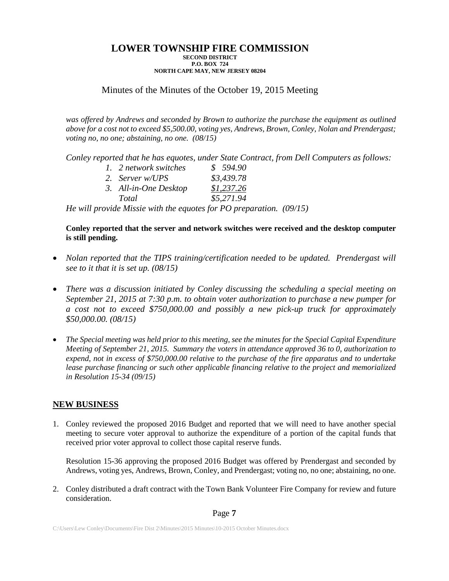# Minutes of the Minutes of the October 19, 2015 Meeting

was offered by Andrews and seconded by Brown to authorize the purchase the equipment as outlined *above for a cost not to exceed \$5,500.00, voting yes, Andrews, Brown, Conley, Nolan and Prendergast; voting no, no one; abstaining, no one. (08/15)*

*Conley reported that he has equotes, under State Contract, from Dell Computers as follows:*

| 1. 2 network switches | \$594.90   |
|-----------------------|------------|
| 2. Server w/UPS       | \$3,439.78 |
| 3. All-in-One Desktop | \$1,237.26 |
| Total                 | \$5,271.94 |

*He will provide Missie with the equotes for PO preparation. (09/15)*

**Conley reported that the server and network switches were received and the desktop computer is still pending.**

- *Nolan reported that the TIPS training/certification needed to be updated. Prendergast will see to it that it is set up. (08/15)*
- *There was a discussion initiated by Conley discussing the scheduling a special meeting on September 21, 2015 at 7:30 p.m. to obtain voter authorization to purchase a new pumper for a cost not to exceed \$750,000.00 and possibly a new pick-up truck for approximately \$50,000.00. (08/15)*
- *The Special meeting was held prior to this meeting, see the minutes for the Special Capital Expenditure Meeting of September 21, 2015. Summary the voters in attendance approved 36 to 0, authorization to expend, not in excess of \$750,000.00 relative to the purchase of the fire apparatus and to undertake lease purchase financing or such other applicable financing relative to the project and memorialized in Resolution 15-34 (09/15)*

### **NEW BUSINESS**

1. Conley reviewed the proposed 2016 Budget and reported that we will need to have another special meeting to secure voter approval to authorize the expenditure of a portion of the capital funds that received prior voter approval to collect those capital reserve funds.

Resolution 15-36 approving the proposed 2016 Budget was offered by Prendergast and seconded by Andrews, voting yes, Andrews, Brown, Conley, and Prendergast; voting no, no one; abstaining, no one.

2. Conley distributed a draft contract with the Town Bank Volunteer Fire Company for review and future consideration.

### Page **7**

C:\Users\Lew Conley\Documents\Fire Dist 2\Minutes\2015 Minutes\10-2015 October Minutes.docx